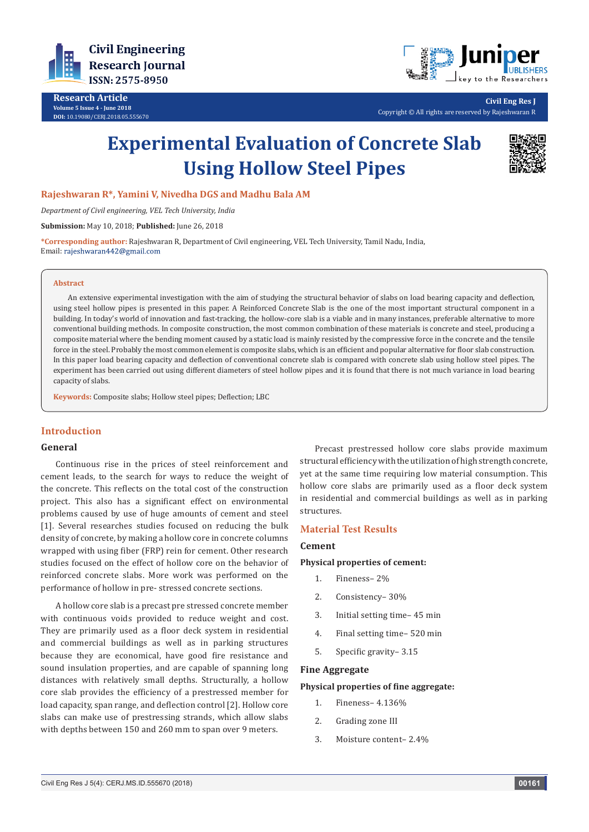

**Research Article Volume 5 Issue 4 - June 2018 DOI:** [10.19080/CERJ.2018.05.555670](http://dx.doi.org/10.19080/CERJ.2018.05.555670)



**Civil Eng Res J** Copyright © All rights are reserved by Rajeshwaran R

# **Experimental Evaluation of Concrete Slab Using Hollow Steel Pipes**



**Rajeshwaran R\*, Yamini V, Nivedha DGS and Madhu Bala AM**

*Department of Civil engineering, VEL Tech University, India*

**Submission:** May 10, 2018; **Published:** June 26, 2018

**\*Corresponding author:** Rajeshwaran R, Department of Civil engineering, VEL Tech University, Tamil Nadu, India, Email: rajeshwaran442@gmail.com

#### **Abstract**

An extensive experimental investigation with the aim of studying the structural behavior of slabs on load bearing capacity and deflection, using steel hollow pipes is presented in this paper. A Reinforced Concrete Slab is the one of the most important structural component in a building. In today's world of innovation and fast-tracking, the hollow-core slab is a viable and in many instances, preferable alternative to more conventional building methods. In composite construction, the most common combination of these materials is concrete and steel, producing a composite material where the bending moment caused by a static load is mainly resisted by the compressive force in the concrete and the tensile force in the steel. Probably the most common element is composite slabs, which is an efficient and popular alternative for floor slab construction. In this paper load bearing capacity and deflection of conventional concrete slab is compared with concrete slab using hollow steel pipes. The experiment has been carried out using different diameters of steel hollow pipes and it is found that there is not much variance in load bearing capacity of slabs.

**Keywords:** Composite slabs; Hollow steel pipes; Deflection; LBC

# **Introduction**

# **General**

Continuous rise in the prices of steel reinforcement and cement leads, to the search for ways to reduce the weight of the concrete. This reflects on the total cost of the construction project. This also has a significant effect on environmental problems caused by use of huge amounts of cement and steel [1]. Several researches studies focused on reducing the bulk density of concrete, by making a hollow core in concrete columns wrapped with using fiber (FRP) rein for cement. Other research studies focused on the effect of hollow core on the behavior of reinforced concrete slabs. More work was performed on the performance of hollow in pre- stressed concrete sections.

A hollow core slab is a precast pre stressed concrete member with continuous voids provided to reduce weight and cost. They are primarily used as a floor deck system in residential and commercial buildings as well as in parking structures because they are economical, have good fire resistance and sound insulation properties, and are capable of spanning long distances with relatively small depths. Structurally, a hollow core slab provides the efficiency of a prestressed member for load capacity, span range, and deflection control [2]. Hollow core slabs can make use of prestressing strands, which allow slabs with depths between 150 and 260 mm to span over 9 meters.

Precast prestressed hollow core slabs provide maximum structural efficiency with the utilization of high strength concrete, yet at the same time requiring low material consumption. This hollow core slabs are primarily used as a floor deck system in residential and commercial buildings as well as in parking structures.

## **Material Test Results**

#### **Cement**

#### **Physical properties of cement:**

- 1. Fineness– 2%
- 2. Consistency– 30%
- 3. Initial setting time– 45 min
- 4. Final setting time– 520 min
- 5. Specific gravity– 3.15

## **Fine Aggregate**

## **Physical properties of fine aggregate:**

- 1. Fineness– 4.136%
- 2. Grading zone III
- 3. Moisture content– 2.4%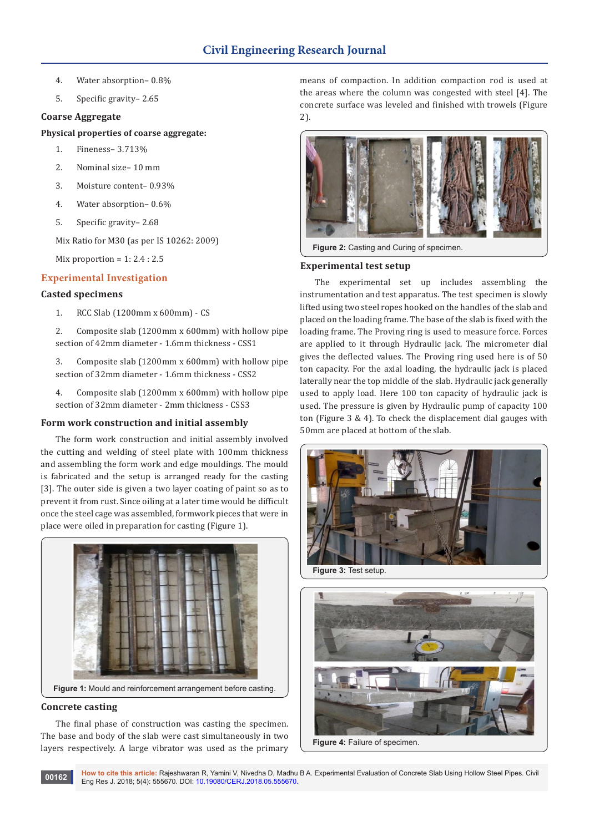- 4. Water absorption– 0.8%
- 5. Specific gravity– 2.65

# **Coarse Aggregate**

# **Physical properties of coarse aggregate:**

- 1. Fineness– 3.713%
- 2. Nominal size– 10 mm
- 3. Moisture content– 0.93%
- 4. Water absorption– 0.6%
- 5. Specific gravity– 2.68

Mix Ratio for M30 (as per IS 10262: 2009)

Mix proportion =  $1: 2.4: 2.5$ 

# **Experimental Investigation**

## **Casted specimens**

- 1. RCC Slab (1200mm x 600mm) CS
- 2. Composite slab (1200mm x 600mm) with hollow pipe section of 42mm diameter - 1.6mm thickness - CSS1
- 3. Composite slab (1200mm x 600mm) with hollow pipe section of 32mm diameter - 1.6mm thickness - CSS2
- 4. Composite slab (1200mm x 600mm) with hollow pipe section of 32mm diameter - 2mm thickness - CSS3

## **Form work construction and initial assembly**

The form work construction and initial assembly involved the cutting and welding of steel plate with 100mm thickness and assembling the form work and edge mouldings. The mould is fabricated and the setup is arranged ready for the casting [3]. The outer side is given a two layer coating of paint so as to prevent it from rust. Since oiling at a later time would be difficult once the steel cage was assembled, formwork pieces that were in place were oiled in preparation for casting (Figure 1).



## **Concrete casting**

The final phase of construction was casting the specimen. The base and body of the slab were cast simultaneously in two layers respectively. A large vibrator was used as the primary

means of compaction. In addition compaction rod is used at the areas where the column was congested with steel [4]. The concrete surface was leveled and finished with trowels (Figure  $2)$ 



**Figure 2:** Casting and Curing of specimen.

## **Experimental test setup**

The experimental set up includes assembling the instrumentation and test apparatus. The test specimen is slowly lifted using two steel ropes hooked on the handles of the slab and placed on the loading frame. The base of the slab is fixed with the loading frame. The Proving ring is used to measure force. Forces are applied to it through Hydraulic jack. The micrometer dial gives the deflected values. The Proving ring used here is of 50 ton capacity. For the axial loading, the hydraulic jack is placed laterally near the top middle of the slab. Hydraulic jack generally used to apply load. Here 100 ton capacity of hydraulic jack is used. The pressure is given by Hydraulic pump of capacity 100 ton (Figure 3 & 4). To check the displacement dial gauges with 50mm are placed at bottom of the slab.



**Figure 3:** Test setup.

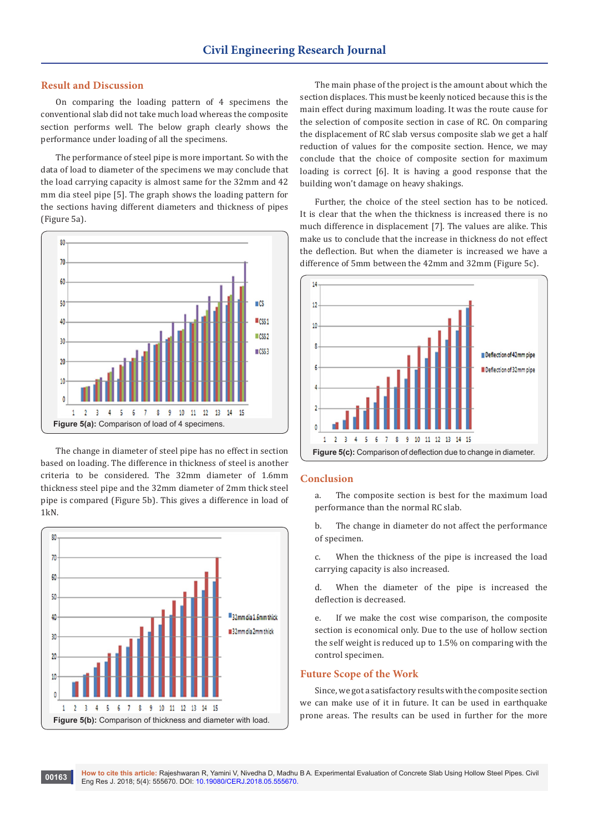## **Result and Discussion**

On comparing the loading pattern of 4 specimens the conventional slab did not take much load whereas the composite section performs well. The below graph clearly shows the performance under loading of all the specimens.

The performance of steel pipe is more important. So with the data of load to diameter of the specimens we may conclude that the load carrying capacity is almost same for the 32mm and 42 mm dia steel pipe [5]. The graph shows the loading pattern for the sections having different diameters and thickness of pipes (Figure 5a).



The change in diameter of steel pipe has no effect in section based on loading. The difference in thickness of steel is another criteria to be considered. The 32mm diameter of 1.6mm thickness steel pipe and the 32mm diameter of 2mm thick steel pipe is compared (Figure 5b). This gives a difference in load of 1kN.



The main phase of the project is the amount about which the section displaces. This must be keenly noticed because this is the main effect during maximum loading. It was the route cause for the selection of composite section in case of RC. On comparing the displacement of RC slab versus composite slab we get a half reduction of values for the composite section. Hence, we may conclude that the choice of composite section for maximum loading is correct [6]. It is having a good response that the building won't damage on heavy shakings.

Further, the choice of the steel section has to be noticed. It is clear that the when the thickness is increased there is no much difference in displacement [7]. The values are alike. This make us to conclude that the increase in thickness do not effect the deflection. But when the diameter is increased we have a difference of 5mm between the 42mm and 32mm (Figure 5c).



#### **Conclusion**

a. The composite section is best for the maximum load performance than the normal RC slab.

b. The change in diameter do not affect the performance of specimen.

c. When the thickness of the pipe is increased the load carrying capacity is also increased.

d. When the diameter of the pipe is increased the deflection is decreased.

e. If we make the cost wise comparison, the composite section is economical only. Due to the use of hollow section the self weight is reduced up to 1.5% on comparing with the control specimen.

#### **Future Scope of the Work**

Since, we got a satisfactory results with the composite section we can make use of it in future. It can be used in earthquake prone areas. The results can be used in further for the more